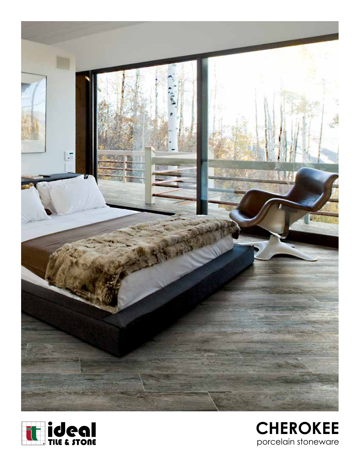



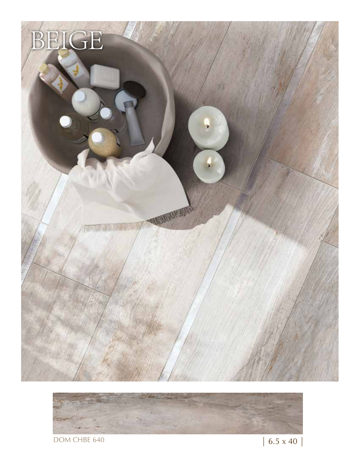



 $DOM$  CHBE 640 | 6.5 x 40 |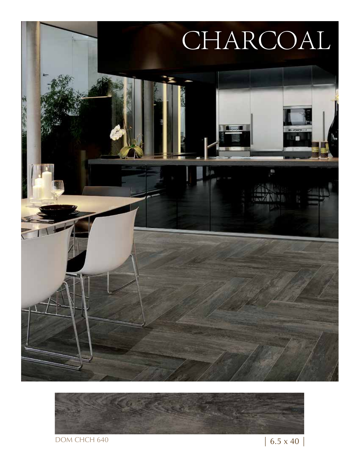

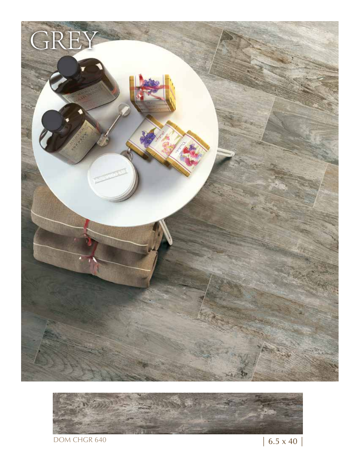



 $DOM CHGR 640$  | 6.5 x 40 |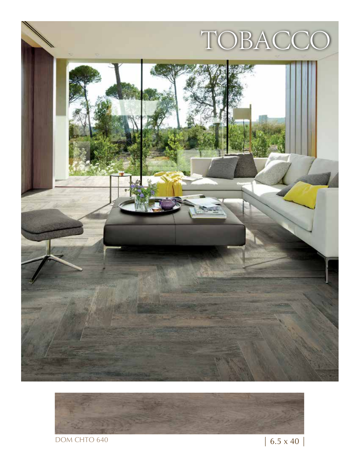

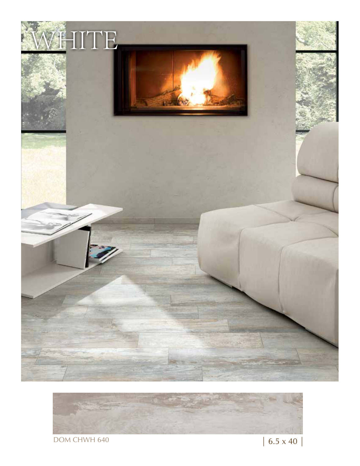

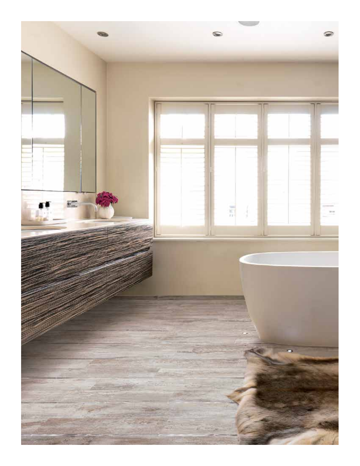